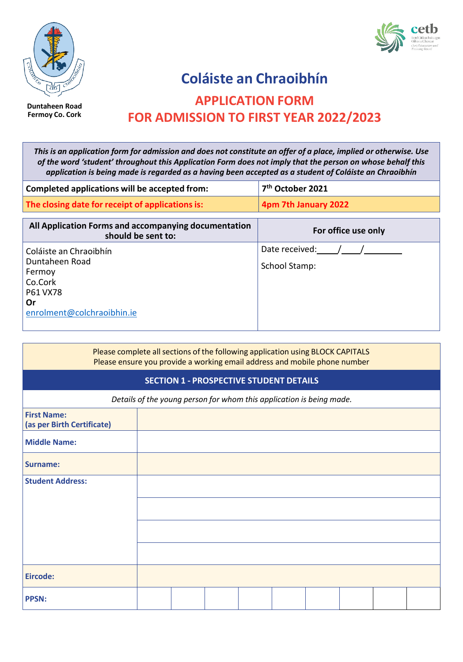

**Duntaheen Road Fermoy Co. Cork**



# **Coláiste an Chraoibhín APPLICATION FORM FOR ADMISSION TO FIRST YEAR 2022/2023**

This is an application form for admission and does not constitute an offer of a place, implied or otherwise. Use *of the word 'student' throughout this Application Form does not imply that the person on whose behalf this* application is being made is regarded as a having been accepted as a student of Coláiste an Chraoibhín

| Completed applications will be accepted from:                                                                 | 7 <sup>th</sup> October 2021           |
|---------------------------------------------------------------------------------------------------------------|----------------------------------------|
| The closing date for receipt of applications is:                                                              | 4pm 7th January 2022                   |
| All Application Forms and accompanying documentation<br>should be sent to:                                    | For office use only                    |
| Coláiste an Chraoibhín<br>Duntaheen Road<br>Fermoy<br>Co.Cork<br>P61 VX78<br>Or<br>enrolment@colchraoibhin.ie | Date received:<br><b>School Stamp:</b> |

| Please complete all sections of the following application using BLOCK CAPITALS<br>Please ensure you provide a working email address and mobile phone number |  |  |  |  |  |  |
|-------------------------------------------------------------------------------------------------------------------------------------------------------------|--|--|--|--|--|--|
| <b>SECTION 1 - PROSPECTIVE STUDENT DETAILS</b>                                                                                                              |  |  |  |  |  |  |
| Details of the young person for whom this application is being made.                                                                                        |  |  |  |  |  |  |
| <b>First Name:</b><br>(as per Birth Certificate)                                                                                                            |  |  |  |  |  |  |
| <b>Middle Name:</b>                                                                                                                                         |  |  |  |  |  |  |
| <b>Surname:</b>                                                                                                                                             |  |  |  |  |  |  |
| <b>Student Address:</b>                                                                                                                                     |  |  |  |  |  |  |
|                                                                                                                                                             |  |  |  |  |  |  |
|                                                                                                                                                             |  |  |  |  |  |  |
|                                                                                                                                                             |  |  |  |  |  |  |
| Eircode:                                                                                                                                                    |  |  |  |  |  |  |
| <b>PPSN:</b>                                                                                                                                                |  |  |  |  |  |  |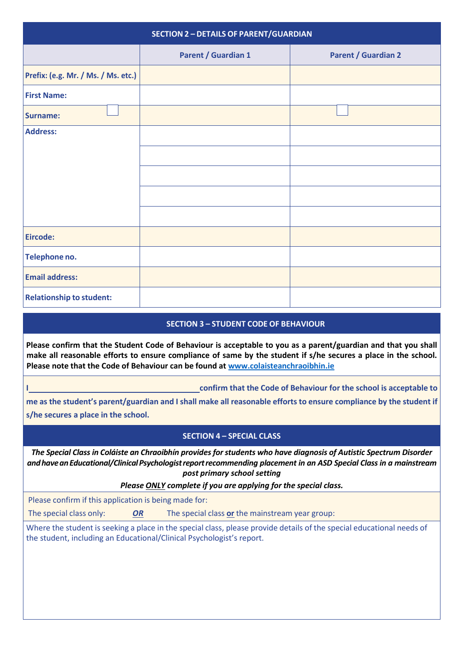| <b>SECTION 2 - DETAILS OF PARENT/GUARDIAN</b> |                            |                            |  |  |
|-----------------------------------------------|----------------------------|----------------------------|--|--|
|                                               | <b>Parent / Guardian 1</b> | <b>Parent / Guardian 2</b> |  |  |
| Prefix: (e.g. Mr. / Ms. / Ms. etc.)           |                            |                            |  |  |
| <b>First Name:</b>                            |                            |                            |  |  |
| <b>Surname:</b>                               |                            |                            |  |  |
| <b>Address:</b>                               |                            |                            |  |  |
|                                               |                            |                            |  |  |
|                                               |                            |                            |  |  |
|                                               |                            |                            |  |  |
|                                               |                            |                            |  |  |
| Eircode:                                      |                            |                            |  |  |
| Telephone no.                                 |                            |                            |  |  |
| <b>Email address:</b>                         |                            |                            |  |  |
| <b>Relationship to student:</b>               |                            |                            |  |  |

## **SECTION 3 – STUDENT CODE OF BEHAVIOUR**

**Please confirm that the Student Code of Behaviour is acceptable to you as a parent/guardian and that you shall make all reasonable efforts to ensure compliance of same by the student if s/he secures a place in the school. Please note that the Code of Behaviour can be found at [www.colaisteanchraoibhin.ie](http://www.colaisteanchraoibhin.ie/)**

**I confirm that the Code of Behaviour for the school is acceptable to**

me as the student's parent/guardian and I shall make all reasonable efforts to ensure compliance by the student if **s/he secures a place in the school.**

## **SECTION 4 – SPECIAL CLASS**

*The Special Class in Coláiste an Chraoibhín provides for students who have diagnosis of Autistic Spectrum Disorder andhaveanEducational/ClinicalPsychologistreportrecommending placement in an ASD Special Class in a mainstream post primary school setting*

*Please ONLY complete if you are applying for the special class.*

Please confirm if this application is being made for:

The special class only: *OR* The special class **or** the mainstream year group:

Where the student is seeking a place in the special class, please provide details of the special educational needs of the student, including an Educational/Clinical Psychologist's report.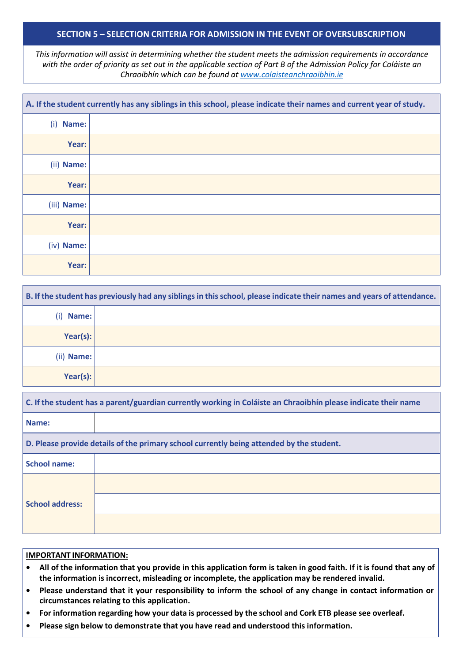#### **SECTION 5 – SELECTION CRITERIA FOR ADMISSION IN THE EVENT OF OVERSUBSCRIPTION**

*This information will assist in determining whether the student meets the admission requirements in accordance with the order of priority as set out in the applicable section of Part B of the Admission Policy for Coláiste an Chraoibhín which can be found at [www.colaisteanchraoibhin.ie](http://www.colaisteanchraoibhin.ie/)*

|              | A. If the student currently has any siblings in this school, please indicate their names and current year of study. |
|--------------|---------------------------------------------------------------------------------------------------------------------|
| Name:<br>(i) |                                                                                                                     |
| Year:        |                                                                                                                     |
| (ii) Name:   |                                                                                                                     |
| Year:        |                                                                                                                     |
| (iii) Name:  |                                                                                                                     |
| Year:        |                                                                                                                     |
| (iv) Name:   |                                                                                                                     |
| Year:        |                                                                                                                     |

|              | B. If the student has previously had any siblings in this school, please indicate their names and years of attendance. |
|--------------|------------------------------------------------------------------------------------------------------------------------|
| Name:<br>(i) |                                                                                                                        |
| Year(s):     |                                                                                                                        |
| (ii) Name:   |                                                                                                                        |
| Year(s):     |                                                                                                                        |

| C. If the student has a parent/guardian currently working in Coláiste an Chraoibhín please indicate their name |                                                                                          |
|----------------------------------------------------------------------------------------------------------------|------------------------------------------------------------------------------------------|
| Name:                                                                                                          |                                                                                          |
|                                                                                                                | D. Please provide details of the primary school currently being attended by the student. |
| <b>School name:</b>                                                                                            |                                                                                          |
| <b>School address:</b>                                                                                         |                                                                                          |
|                                                                                                                |                                                                                          |
|                                                                                                                |                                                                                          |

#### **IMPORTANT INFORMATION:**

- All of the information that you provide in this application form is taken in good faith. If it is found that any of **the information is incorrect, misleading or incomplete, the application may be rendered invalid.**
- Please understand that it your responsibility to inform the school of any change in contact information or **circumstances relating to this application.**
- For information regarding how your data is processed by the school and Cork ETB please see overleaf.
- **• Please sign below to demonstrate that you have read and understood this information.**